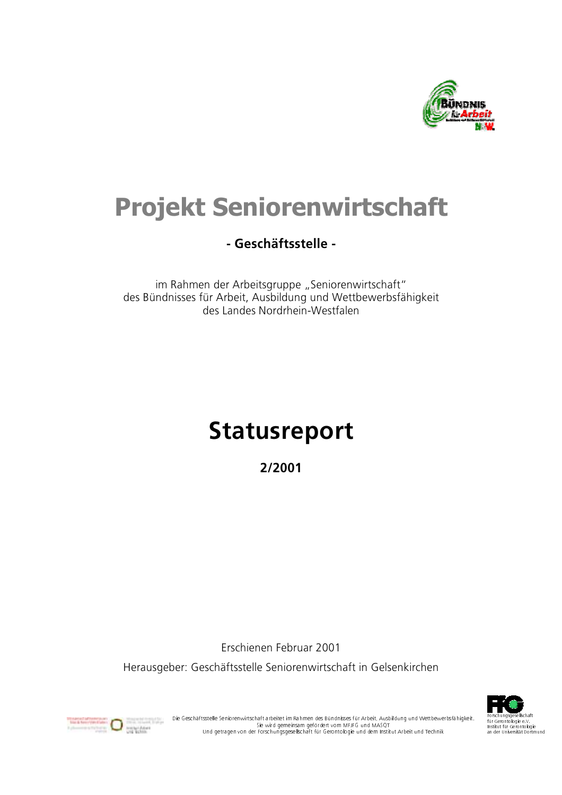

# **Projekt Seniorenwirtschaft**

## - Geschäftsstelle -

im Rahmen der Arbeitsgruppe "Seniorenwirtschaft" des Bündnisses für Arbeit, Ausbildung und Wettbewerbsfähigkeit des Landes Nordrhein-Westfalen

# **Statusreport**

2/2001

Frschienen Februar 2001

Herausgeber: Geschäftsstelle Seniorenwirtschaft in Gelsenkirchen





. Die Geschäftsstelle Seniorenwirtschaft arbeitet im Rahmen des Bündnisses für Arbeit, Ausbildung und Wettbewerbsfähigkeit<br>Sie wird gemeinsam gefördert vom MFJFG und MASQT<br>Und getragen von der Forschungsgesellschaft für Ge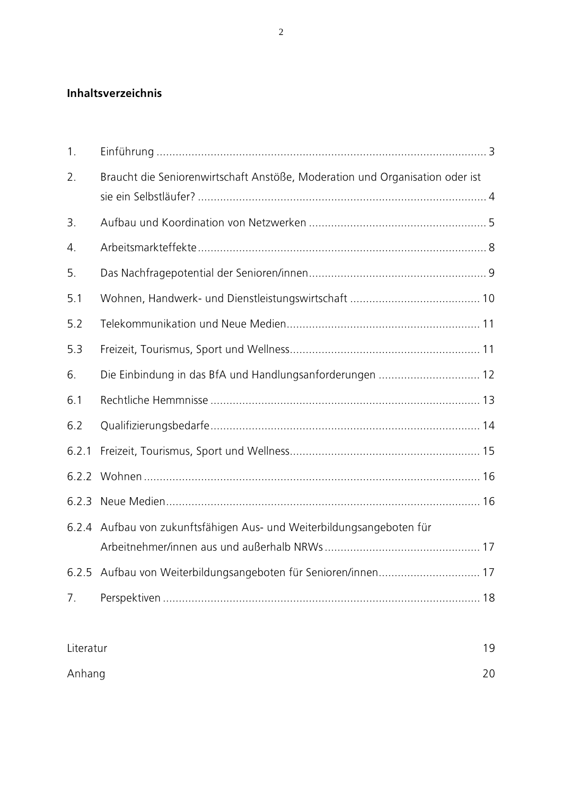### Inhaltsverzeichnis

| 1.        |                                                                              |    |
|-----------|------------------------------------------------------------------------------|----|
| 2.        | Braucht die Seniorenwirtschaft Anstöße, Moderation und Organisation oder ist |    |
| 3.        |                                                                              |    |
| 4.        |                                                                              |    |
| 5.        |                                                                              |    |
| 5.1       |                                                                              |    |
| 5.2       |                                                                              |    |
| 5.3       |                                                                              |    |
| 6.        | Die Einbindung in das BfA und Handlungsanforderungen  12                     |    |
| 6.1       |                                                                              |    |
| 6.2       |                                                                              |    |
| 6.2.1     |                                                                              |    |
| 6.2.2     |                                                                              |    |
| 6.2.3     |                                                                              |    |
|           | 6.2.4 Aufbau von zukunftsfähigen Aus- und Weiterbildungsangeboten für        |    |
|           |                                                                              |    |
|           | 6.2.5 Aufbau von Weiterbildungsangeboten für Senioren/innen 17               |    |
| 7.        |                                                                              |    |
| Literatur |                                                                              | 19 |

| Anhang | 20 |
|--------|----|
|        |    |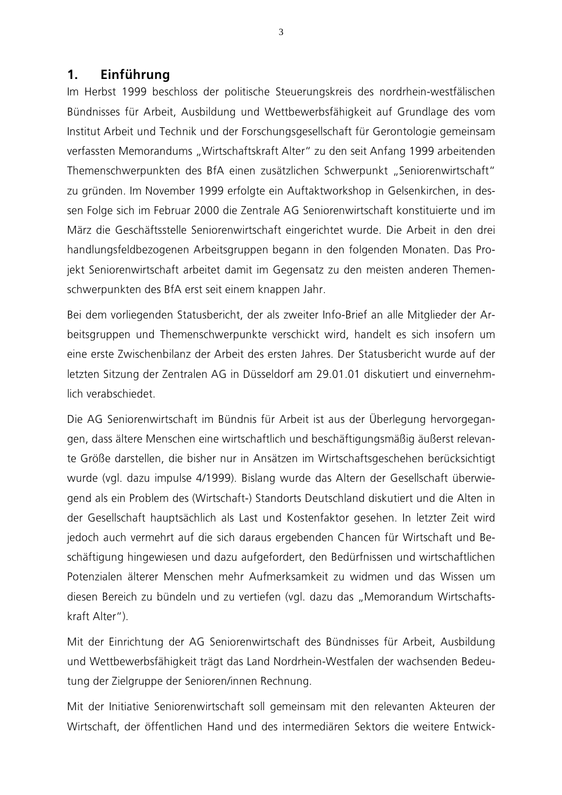### $1<sup>1</sup>$ Einführung

Im Herbst 1999 beschloss der politische Steuerungskreis des nordrhein-westfälischen Bündnisses für Arbeit, Ausbildung und Wettbewerbsfähigkeit auf Grundlage des vom Institut Arbeit und Technik und der Forschungsgesellschaft für Gerontologie gemeinsam verfassten Memorandums "Wirtschaftskraft Alter" zu den seit Anfang 1999 arbeitenden Themenschwerpunkten des BfA einen zusätzlichen Schwerpunkt "Seniorenwirtschaft" zu gründen. Im November 1999 erfolgte ein Auftaktworkshop in Gelsenkirchen, in dessen Folge sich im Februar 2000 die Zentrale AG Seniorenwirtschaft konstituierte und im März die Geschäftsstelle Seniorenwirtschaft eingerichtet wurde. Die Arbeit in den drei handlungsfeldbezogenen Arbeitsgruppen begann in den folgenden Monaten. Das Projekt Seniorenwirtschaft arbeitet damit im Gegensatz zu den meisten anderen Themenschwerpunkten des BfA erst seit einem knappen Jahr.

Bei dem vorliegenden Statusbericht, der als zweiter Info-Brief an alle Mitglieder der Arbeitsgruppen und Themenschwerpunkte verschickt wird, handelt es sich insofern um eine erste Zwischenbilanz der Arbeit des ersten Jahres. Der Statusbericht wurde auf der letzten Sitzung der Zentralen AG in Düsseldorf am 29.01.01 diskutiert und einvernehmlich verabschiedet.

Die AG Seniorenwirtschaft im Bündnis für Arbeit ist aus der Überlegung hervorgegangen, dass ältere Menschen eine wirtschaftlich und beschäftigungsmäßig äußerst relevante Größe darstellen, die bisher nur in Ansätzen im Wirtschaftsgeschehen berücksichtigt wurde (vgl. dazu impulse 4/1999). Bislang wurde das Altern der Gesellschaft überwiegend als ein Problem des (Wirtschaft-) Standorts Deutschland diskutiert und die Alten in der Gesellschaft hauptsächlich als Last und Kostenfaktor gesehen. In letzter Zeit wird jedoch auch vermehrt auf die sich daraus ergebenden Chancen für Wirtschaft und Beschäftigung hingewiesen und dazu aufgefordert, den Bedürfnissen und wirtschaftlichen Potenzialen älterer Menschen mehr Aufmerksamkeit zu widmen und das Wissen um diesen Bereich zu bündeln und zu vertiefen (vgl. dazu das "Memorandum Wirtschaftskraft Alter").

Mit der Einrichtung der AG Seniorenwirtschaft des Bündnisses für Arbeit, Ausbildung und Wettbewerbsfähigkeit trägt das Land Nordrhein-Westfalen der wachsenden Bedeutung der Zielgruppe der Senioren/innen Rechnung.

Mit der Initiative Seniorenwirtschaft soll gemeinsam mit den relevanten Akteuren der Wirtschaft, der öffentlichen Hand und des intermediären Sektors die weitere Entwick-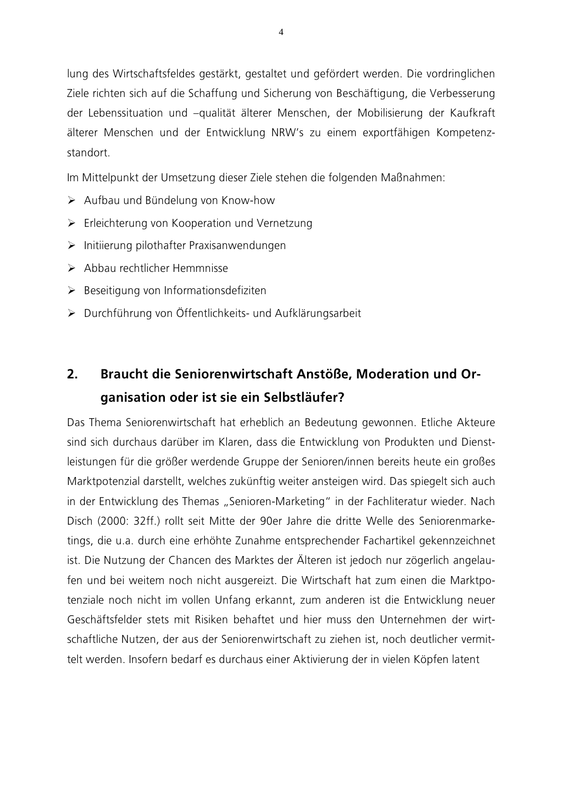lung des Wirtschaftsfeldes gestärkt, gestaltet und gefördert werden. Die vordringlichen Ziele richten sich auf die Schaffung und Sicherung von Beschäftigung, die Verbesserung der Lebenssituation und -qualität älterer Menschen, der Mobilisierung der Kaufkraft älterer Menschen und der Entwicklung NRW's zu einem exportfähigen Kompetenzstandort.

Im Mittelpunkt der Umsetzung dieser Ziele stehen die folgenden Maßnahmen:

- > Aufbau und Bündelung von Know-how
- > Erleichterung von Kooperation und Vernetzung
- > Initiierung pilothafter Praxisanwendungen
- $\triangleright$  Abbau rechtlicher Hemmnisse
- > Beseitigung von Informationsdefiziten
- ▶ Durchführung von Öffentlichkeits- und Aufklärungsarbeit

### $2.$ Braucht die Seniorenwirtschaft Anstöße, Moderation und Organisation oder ist sie ein Selbstläufer?

Das Thema Seniorenwirtschaft hat erheblich an Bedeutung gewonnen. Etliche Akteure sind sich durchaus darüber im Klaren, dass die Entwicklung von Produkten und Dienstleistungen für die größer werdende Gruppe der Senioren/innen bereits heute ein großes Marktpotenzial darstellt, welches zukünftig weiter ansteigen wird. Das spiegelt sich auch in der Entwicklung des Themas "Senioren-Marketing" in der Fachliteratur wieder. Nach Disch (2000: 32ff.) rollt seit Mitte der 90er Jahre die dritte Welle des Seniorenmarketings, die u.a. durch eine erhöhte Zunahme entsprechender Fachartikel gekennzeichnet ist. Die Nutzung der Chancen des Marktes der Älteren ist jedoch nur zögerlich angelaufen und bei weitem noch nicht ausgereizt. Die Wirtschaft hat zum einen die Marktpotenziale noch nicht im vollen Unfang erkannt, zum anderen ist die Entwicklung neuer Geschäftsfelder stets mit Risiken behaftet und hier muss den Unternehmen der wirtschaftliche Nutzen, der aus der Seniorenwirtschaft zu ziehen ist, noch deutlicher vermittelt werden. Insofern bedarf es durchaus einer Aktivierung der in vielen Köpfen latent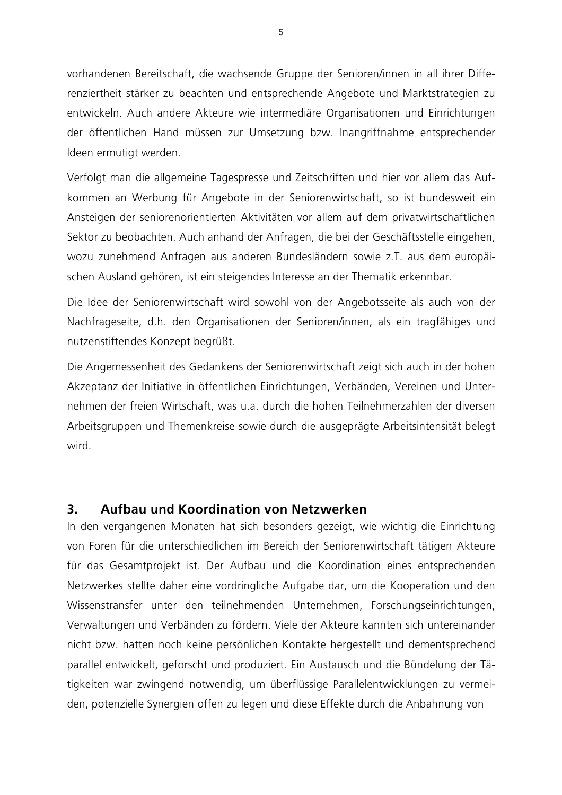vorhandenen Bereitschaft, die wachsende Gruppe der Senioren/innen in all ihrer Differenziertheit stärker zu beachten und entsprechende Angebote und Marktstrategien zu entwickeln. Auch andere Akteure wie intermediäre Organisationen und Einrichtungen der öffentlichen Hand müssen zur Umsetzung bzw. Inangriffnahme entsprechender Ideen ermutigt werden.

Verfolgt man die allgemeine Tagespresse und Zeitschriften und hier vor allem das Aufkommen an Werbung für Angebote in der Seniorenwirtschaft, so ist bundesweit ein Ansteigen der seniorenorientierten Aktivitäten vor allem auf dem privatwirtschaftlichen Sektor zu beobachten. Auch anhand der Anfragen, die bei der Geschäftsstelle eingehen, wozu zunehmend Anfragen aus anderen Bundesländern sowie z.T. aus dem europäischen Ausland gehören, ist ein steigendes Interesse an der Thematik erkennbar.

Die Idee der Seniorenwirtschaft wird sowohl von der Angebotsseite als auch von der Nachfrageseite, d.h. den Organisationen der Senioren/innen, als ein tragfähiges und nutzenstiftendes Konzept begrüßt.

Die Angemessenheit des Gedankens der Seniorenwirtschaft zeigt sich auch in der hohen Akzeptanz der Initiative in öffentlichen Einrichtungen, Verbänden, Vereinen und Unternehmen der freien Wirtschaft, was u.a. durch die hohen Teilnehmerzahlen der diversen Arbeitsgruppen und Themenkreise sowie durch die ausgeprägte Arbeitsintensität belegt wird

### Aufbau und Koordination von Netzwerken  $3.$

In den vergangenen Monaten hat sich besonders gezeigt, wie wichtig die Einrichtung von Foren für die unterschiedlichen im Bereich der Seniorenwirtschaft tätigen Akteure für das Gesamtprojekt ist. Der Aufbau und die Koordination eines entsprechenden Netzwerkes stellte daher eine vordringliche Aufgabe dar, um die Kooperation und den Wissenstransfer unter den teilnehmenden Unternehmen, Forschungseinrichtungen, Verwaltungen und Verbänden zu fördern. Viele der Akteure kannten sich untereinander nicht bzw. hatten noch keine persönlichen Kontakte hergestellt und dementsprechend parallel entwickelt, geforscht und produziert. Ein Austausch und die Bündelung der Tätigkeiten war zwingend notwendig, um überflüssige Parallelentwicklungen zu vermeiden, potenzielle Synergien offen zu legen und diese Effekte durch die Anbahnung von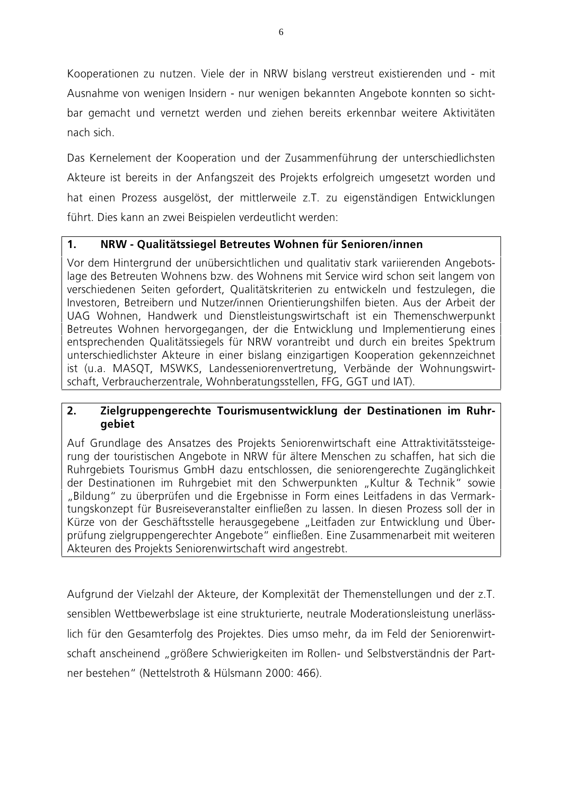Kooperationen zu nutzen. Viele der in NRW bislang verstreut existierenden und - mit Ausnahme von wenigen Insidern - nur wenigen bekannten Angebote konnten so sichtbar gemacht und vernetzt werden und ziehen bereits erkennbar weitere Aktivitäten nach sich

Das Kernelement der Kooperation und der Zusammenführung der unterschiedlichsten Akteure ist bereits in der Anfangszeit des Projekts erfolgreich umgesetzt worden und hat einen Prozess ausgelöst, der mittlerweile z.T. zu eigenständigen Entwicklungen führt. Dies kann an zwei Beispielen verdeutlicht werden:

### $1<sub>1</sub>$ NRW - Qualitätssiegel Betreutes Wohnen für Senioren/innen

Vor dem Hintergrund der unübersichtlichen und qualitativ stark varijerenden Angebotslage des Betreuten Wohnens bzw. des Wohnens mit Service wird schon seit langem von verschiedenen Seiten gefordert, Qualitätskriterien zu entwickeln und festzulegen, die Investoren, Betreibern und Nutzer/innen Orientierungshilfen bieten. Aus der Arbeit der UAG Wohnen, Handwerk und Dienstleistungswirtschaft ist ein Themenschwerpunkt Betreutes Wohnen hervorgegangen, der die Entwicklung und Implementierung eines entsprechenden Qualitätssiegels für NRW vorantreibt und durch ein breites Spektrum unterschiedlichster Akteure in einer bislang einzigartigen Kooperation gekennzeichnet ist (u.a. MASQT, MSWKS, Landesseniorenvertretung, Verbände der Wohnungswirtschaft, Verbraucherzentrale, Wohnberatungsstellen, FFG, GGT und IAT).

### $2<sub>1</sub>$ Zielgruppengerechte Tourismusentwicklung der Destinationen im Ruhrqebiet

Auf Grundlage des Ansatzes des Projekts Seniorenwirtschaft eine Attraktivitätssteigerung der touristischen Angebote in NRW für ältere Menschen zu schaffen, hat sich die Ruhrgebiets Tourismus GmbH dazu entschlossen, die seniorengerechte Zugänglichkeit der Destinationen im Ruhrgebiet mit den Schwerpunkten "Kultur & Technik" sowie "Bildung" zu überprüfen und die Ergebnisse in Form eines Leitfadens in das Vermarktungskonzept für Busreiseveranstalter einfließen zu lassen. In diesen Prozess soll der in Kürze von der Geschäftsstelle herausgegebene "Leitfaden zur Entwicklung und Überprüfung zielgruppengerechter Angebote" einfließen. Eine Zusammenarbeit mit weiteren Akteuren des Projekts Seniorenwirtschaft wird angestrebt.

Aufgrund der Vielzahl der Akteure, der Komplexität der Themenstellungen und der z.T. sensiblen Wettbewerbslage ist eine strukturierte, neutrale Moderationsleistung unerlässlich für den Gesamterfolg des Projektes. Dies umso mehr, da im Feld der Seniorenwirtschaft anscheinend "größere Schwierigkeiten im Rollen- und Selbstverständnis der Partner bestehen" (Nettelstroth & Hülsmann 2000; 466).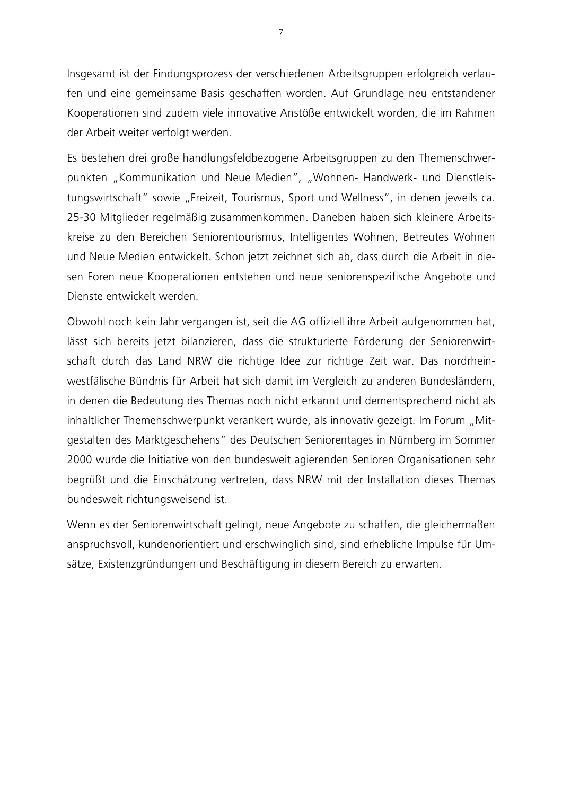Insgesamt ist der Findungsprozess der verschiedenen Arbeitsgruppen erfolgreich verlaufen und eine gemeinsame Basis geschaffen worden. Auf Grundlage neu entstandener Kooperationen sind zudem viele innovative Anstöße entwickelt worden, die im Rahmen der Arbeit weiter verfolgt werden.

Es bestehen drei große handlungsfeldbezogene Arbeitsgruppen zu den Themenschwerpunkten "Kommunikation und Neue Medien", "Wohnen- Handwerk- und Dienstleistungswirtschaft" sowie "Freizeit, Tourismus, Sport und Wellness", in denen jeweils ca. 25-30 Mitglieder regelmäßig zusammenkommen. Daneben haben sich kleinere Arbeitskreise zu den Bereichen Seniorentourismus, Intelligentes Wohnen, Betreutes Wohnen und Neue Medien entwickelt. Schon jetzt zeichnet sich ab, dass durch die Arbeit in diesen Foren neue Kooperationen entstehen und neue seniorenspezifische Angebote und Dienste entwickelt werden

Obwohl noch kein Jahr vergangen ist, seit die AG offiziell ihre Arbeit aufgenommen hat, lässt sich bereits jetzt bilanzieren, dass die strukturierte Förderung der Seniorenwirtschaft durch das Land NRW die richtige Idee zur richtige Zeit war. Das nordrheinwestfälische Bündnis für Arbeit hat sich damit im Vergleich zu anderen Bundesländern, in denen die Bedeutung des Themas noch nicht erkannt und dementsprechend nicht als inhaltlicher Themenschwerpunkt verankert wurde, als innovativ gezeigt. Im Forum "Mitgestalten des Marktgeschehens" des Deutschen Seniorentages in Nürnberg im Sommer 2000 wurde die Initiative von den bundesweit agierenden Senioren Organisationen sehr begrüßt und die Einschätzung vertreten, dass NRW mit der Installation dieses Themas bundesweit richtungsweisend ist.

Wenn es der Seniorenwirtschaft gelingt, neue Angebote zu schaffen, die gleichermaßen anspruchsvoll, kundenorientiert und erschwinglich sind, sind erhebliche Impulse für Umsätze, Existenzgründungen und Beschäftigung in diesem Bereich zu erwarten.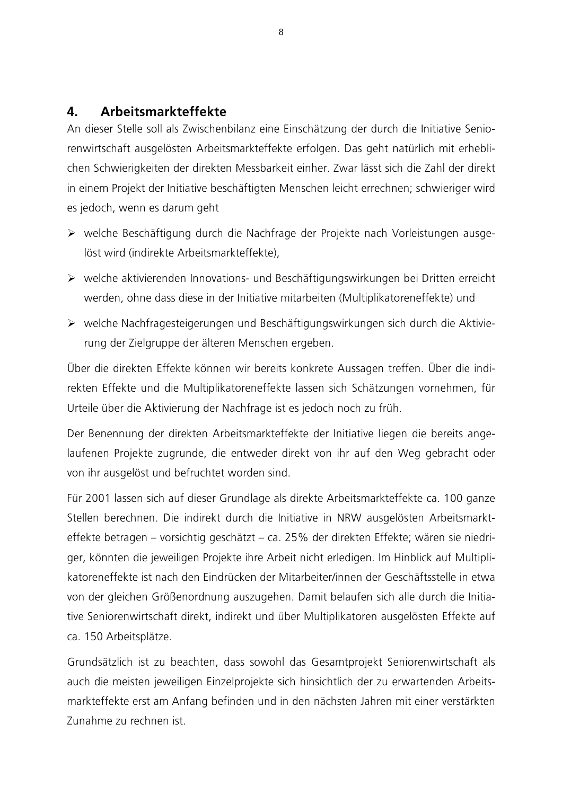#### $\overline{\mathbf{A}}$ Arbeitsmarkteffekte

An dieser Stelle soll als Zwischenbilanz eine Einschätzung der durch die Initiative Seniorenwirtschaft ausgelösten Arbeitsmarkteffekte erfolgen. Das geht natürlich mit erheblichen Schwierigkeiten der direkten Messbarkeit einher. Zwar lässt sich die Zahl der direkt in einem Projekt der Initiative beschäftigten Menschen leicht errechnen; schwieriger wird es jedoch, wenn es darum geht

- > welche Beschäftigung durch die Nachfrage der Projekte nach Vorleistungen ausgelöst wird (indirekte Arbeitsmarkteffekte),
- ▶ welche aktivierenden Innovations- und Beschäftigungswirkungen bei Dritten erreicht werden, ohne dass diese in der Initiative mitarbeiten (Multiplikatoreneffekte) und
- ► welche Nachfragesteigerungen und Beschäftigungswirkungen sich durch die Aktivierung der Zielgruppe der älteren Menschen ergeben.

Über die direkten Effekte können wir bereits konkrete Aussagen treffen. Über die indirekten Effekte und die Multiplikatoreneffekte lassen sich Schätzungen vornehmen, für Urteile über die Aktivierung der Nachfrage ist es jedoch noch zu früh.

Der Benennung der direkten Arbeitsmarkteffekte der Initiative liegen die bereits angelaufenen Projekte zugrunde, die entweder direkt von ihr auf den Weg gebracht oder von ihr ausgelöst und befruchtet worden sind.

Für 2001 lassen sich auf dieser Grundlage als direkte Arbeitsmarkteffekte ca. 100 ganze Stellen berechnen. Die indirekt durch die Initiative in NRW ausgelösten Arbeitsmarkteffekte betragen – vorsichtig geschätzt – ca. 25% der direkten Effekte; wären sie niedriger, könnten die jeweiligen Projekte ihre Arbeit nicht erledigen. Im Hinblick auf Multiplikatoreneffekte ist nach den Eindrücken der Mitarbeiter/innen der Geschäftsstelle in etwa von der gleichen Größenordnung auszugehen. Damit belaufen sich alle durch die Initiative Seniorenwirtschaft direkt, indirekt und über Multiplikatoren ausgelösten Effekte auf ca. 150 Arbeitsplätze.

Grundsätzlich ist zu beachten, dass sowohl das Gesamtprojekt Seniorenwirtschaft als auch die meisten jeweiligen Einzelprojekte sich hinsichtlich der zu erwartenden Arbeitsmarkteffekte erst am Anfang befinden und in den nächsten Jahren mit einer verstärkten Zunahme zu rechnen ist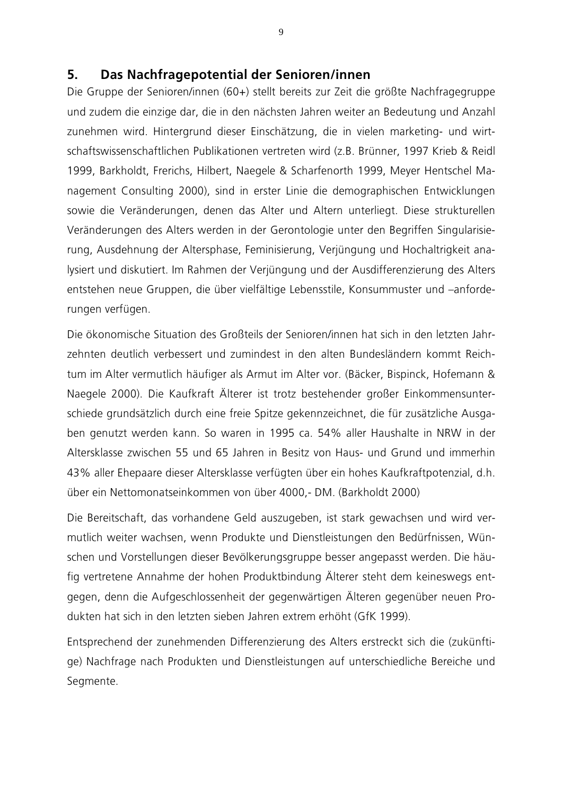#### $5<sub>1</sub>$ Das Nachfragepotential der Senioren/innen

Die Gruppe der Senioren/innen (60+) stellt bereits zur Zeit die größte Nachfragegruppe und zudem die einzige dar, die in den nächsten Jahren weiter an Bedeutung und Anzahl zunehmen wird. Hintergrund dieser Einschätzung, die in vielen marketing- und wirtschaftswissenschaftlichen Publikationen vertreten wird (z.B. Brünner, 1997 Krieb & Reidl 1999, Barkholdt, Frerichs, Hilbert, Naegele & Scharfenorth 1999, Meyer Hentschel Management Consulting 2000), sind in erster Linie die demographischen Entwicklungen sowie die Veränderungen, denen das Alter und Altern unterliegt. Diese strukturellen Veränderungen des Alters werden in der Gerontologie unter den Begriffen Singularisierung, Ausdehnung der Altersphase, Feminisierung, Verjüngung und Hochaltrigkeit analysiert und diskutiert. Im Rahmen der Verjüngung und der Ausdifferenzierung des Alters entstehen neue Gruppen, die über vielfältige Lebensstile, Konsummuster und -anforderungen verfügen.

Die ökonomische Situation des Großteils der Senioren/innen hat sich in den letzten Jahrzehnten deutlich verbessert und zumindest in den alten Bundesländern kommt Reichtum im Alter vermutlich häufiger als Armut im Alter vor. (Bäcker, Bispinck, Hofemann & Naegele 2000). Die Kaufkraft Älterer ist trotz bestehender großer Einkommensunterschiede grundsätzlich durch eine freie Spitze gekennzeichnet, die für zusätzliche Ausgaben genutzt werden kann. So waren in 1995 ca. 54% aller Haushalte in NRW in der Altersklasse zwischen 55 und 65 Jahren in Besitz von Haus- und Grund und immerhin 43% aller Ehepaare dieser Altersklasse verfügten über ein hohes Kaufkraftpotenzial, d.h. über ein Nettomonatseinkommen von über 4000,- DM. (Barkholdt 2000)

Die Bereitschaft, das vorhandene Geld auszugeben, ist stark gewachsen und wird vermutlich weiter wachsen, wenn Produkte und Dienstleistungen den Bedürfnissen, Wünschen und Vorstellungen dieser Bevölkerungsgruppe besser angepasst werden. Die häufig vertretene Annahme der hohen Produktbindung Älterer steht dem keineswegs entgegen, denn die Aufgeschlossenheit der gegenwärtigen Älteren gegenüber neuen Produkten hat sich in den letzten sieben Jahren extrem erhöht (GfK 1999).

Entsprechend der zunehmenden Differenzierung des Alters erstreckt sich die (zukünftige) Nachfrage nach Produkten und Dienstleistungen auf unterschiedliche Bereiche und Segmente.

9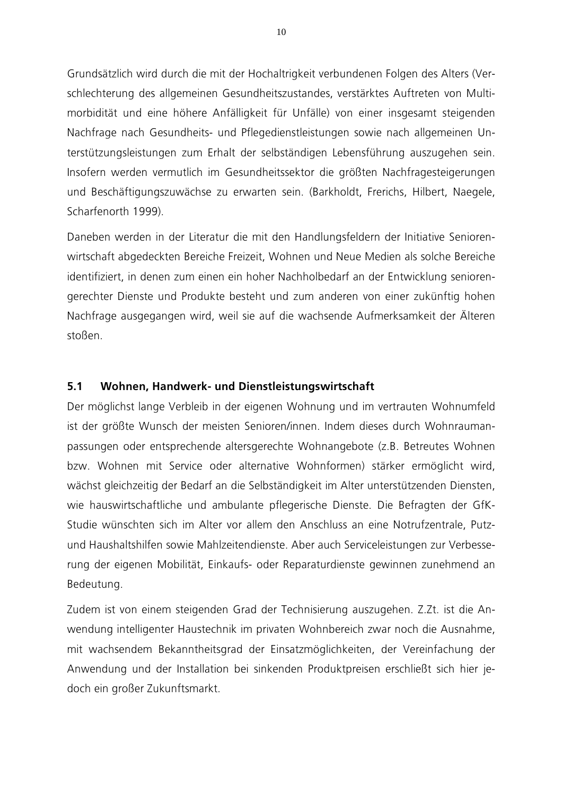Grundsätzlich wird durch die mit der Hochaltrigkeit verbundenen Folgen des Alters (Verschlechterung des allgemeinen Gesundheitszustandes, verstärktes Auftreten von Multimorbidität und eine höhere Anfälligkeit für Unfälle) von einer insgesamt steigenden Nachfrage nach Gesundheits- und Pflegedienstleistungen sowie nach allgemeinen Unterstützungsleistungen zum Erhalt der selbständigen Lebensführung auszugehen sein. Insofern werden vermutlich im Gesundheitssektor die größten Nachfragesteigerungen und Beschäftigungszuwächse zu erwarten sein. (Barkholdt, Frerichs, Hilbert, Naegele, Scharfenorth 1999).

Daneben werden in der Literatur die mit den Handlungsfeldern der Initiative Seniorenwirtschaft abgedeckten Bereiche Freizeit, Wohnen und Neue Medien als solche Bereiche identifiziert, in denen zum einen ein hoher Nachholbedarf an der Entwicklung seniorengerechter Dienste und Produkte besteht und zum anderen von einer zukünftig hohen Nachfrage ausgegangen wird, weil sie auf die wachsende Aufmerksamkeit der Älteren stoßen.

#### $5.1$ Wohnen, Handwerk- und Dienstleistungswirtschaft

Der möglichst lange Verbleib in der eigenen Wohnung und im vertrauten Wohnumfeld ist der größte Wunsch der meisten Senioren/innen. Indem dieses durch Wohnraumanpassungen oder entsprechende altersgerechte Wohnangebote (z.B. Betreutes Wohnen bzw. Wohnen mit Service oder alternative Wohnformen) stärker ermöglicht wird, wächst gleichzeitig der Bedarf an die Selbständigkeit im Alter unterstützenden Diensten, wie hauswirtschaftliche und ambulante pflegerische Dienste. Die Befragten der GfK-Studie wünschten sich im Alter vor allem den Anschluss an eine Notrufzentrale, Putzund Haushaltshilfen sowie Mahlzeitendienste. Aber auch Serviceleistungen zur Verbesserung der eigenen Mobilität, Einkaufs- oder Reparaturdienste gewinnen zunehmend an Bedeutung.

Zudem ist von einem steigenden Grad der Technisierung auszugehen. Z.Zt. ist die Anwendung intelligenter Haustechnik im privaten Wohnbereich zwar noch die Ausnahme, mit wachsendem Bekanntheitsgrad der Einsatzmöglichkeiten, der Vereinfachung der Anwendung und der Installation bei sinkenden Produktpreisen erschließt sich hier jedoch ein großer Zukunftsmarkt.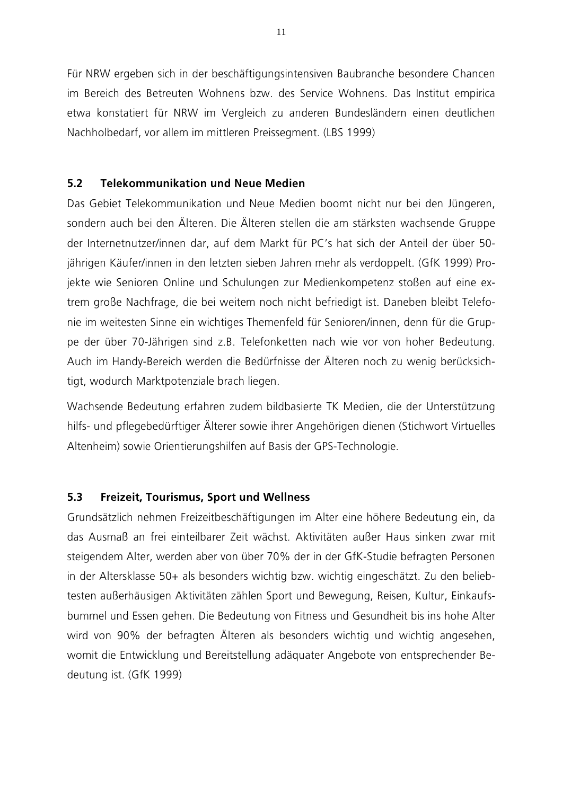Für NRW ergeben sich in der beschäftigungsintensiven Baubranche besondere Chancen im Bereich des Betreuten Wohnens bzw. des Service Wohnens. Das Institut empirica etwa konstatiert für NRW im Vergleich zu anderen Bundesländern einen deutlichen Nachholbedarf, vor allem im mittleren Preissegment. (LBS 1999)

#### 5.2 **Telekommunikation und Neue Medien**

Das Gebiet Telekommunikation und Neue Medien boomt nicht nur bei den Jüngeren. sondern auch bei den Älteren. Die Älteren stellen die am stärksten wachsende Gruppe der Internetnutzer/innen dar, auf dem Markt für PC's hat sich der Anteil der über 50jährigen Käufer/innen in den letzten sieben Jahren mehr als verdoppelt. (GfK 1999) Projekte wie Senioren Online und Schulungen zur Medienkompetenz stoßen auf eine extrem große Nachfrage, die bei weitem noch nicht befriedigt ist. Daneben bleibt Telefonie im weitesten Sinne ein wichtiges Themenfeld für Senioren/innen, denn für die Gruppe der über 70-Jährigen sind z.B. Telefonketten nach wie vor von hoher Bedeutung. Auch im Handy-Bereich werden die Bedürfnisse der Älteren noch zu wenig berücksichtigt, wodurch Marktpotenziale brach liegen.

Wachsende Bedeutung erfahren zudem bildbasierte TK Medien, die der Unterstützung hilfs- und pflegebedürftiger Älterer sowie ihrer Angehörigen dienen (Stichwort Virtuelles Altenheim) sowie Orientierungshilfen auf Basis der GPS-Technologie.

#### $5.3$ Freizeit, Tourismus, Sport und Wellness

Grundsätzlich nehmen Freizeitbeschäftigungen im Alter eine höhere Bedeutung ein, da das Ausmaß an frei einteilbarer Zeit wächst. Aktivitäten außer Haus sinken zwar mit steigendem Alter, werden aber von über 70% der in der GfK-Studie befragten Personen in der Altersklasse 50+ als besonders wichtig bzw. wichtig eingeschätzt. Zu den beliebtesten außerhäusigen Aktivitäten zählen Sport und Bewegung, Reisen, Kultur, Einkaufsbummel und Essen gehen. Die Bedeutung von Fitness und Gesundheit bis ins hohe Alter wird von 90% der befragten Älteren als besonders wichtig und wichtig angesehen, womit die Entwicklung und Bereitstellung adäquater Angebote von entsprechender Bedeutung ist. (GfK 1999)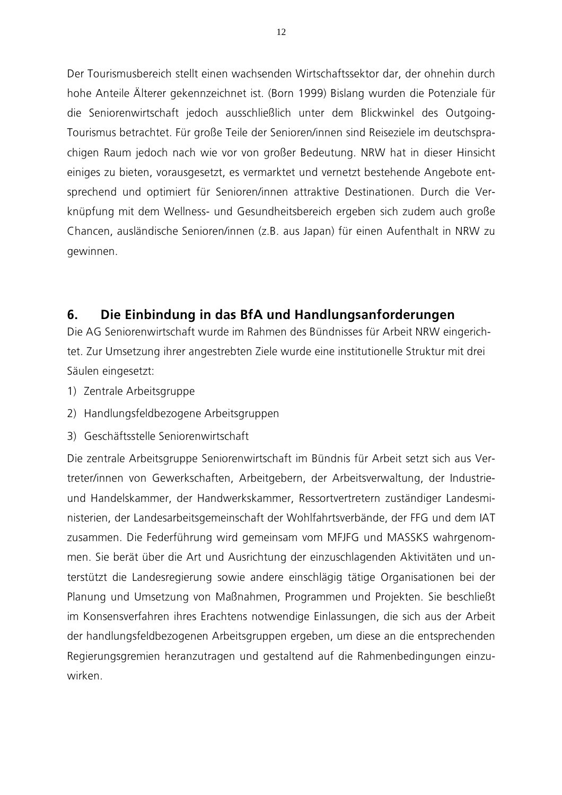Der Tourismusbereich stellt einen wachsenden Wirtschaftssektor dar, der ohnehin durch hohe Anteile Älterer gekennzeichnet ist. (Born 1999) Bislang wurden die Potenziale für die Seniorenwirtschaft jedoch ausschließlich unter dem Blickwinkel des Outgoing-Tourismus betrachtet. Für große Teile der Senioren/innen sind Reiseziele im deutschsprachigen Raum jedoch nach wie vor von großer Bedeutung. NRW hat in dieser Hinsicht einiges zu bieten, vorausgesetzt, es vermarktet und vernetzt bestehende Angebote entsprechend und optimiert für Senioren/innen attraktive Destinationen. Durch die Verknüpfung mit dem Wellness- und Gesundheitsbereich ergeben sich zudem auch große Chancen, ausländische Senioren/innen (z.B. aus Japan) für einen Aufenthalt in NRW zu gewinnen.

### 6. Die Einbindung in das BfA und Handlungsanforderungen

Die AG Seniorenwirtschaft wurde im Rahmen des Bündnisses für Arbeit NRW eingerichtet. Zur Umsetzung ihrer angestrebten Ziele wurde eine institutionelle Struktur mit drei Säulen eingesetzt:

- 1) Zentrale Arbeitsgruppe
- 2) Handlungsfeldbezogene Arbeitsgruppen
- 3) Geschäftsstelle Seniorenwirtschaft

Die zentrale Arbeitsgruppe Seniorenwirtschaft im Bündnis für Arbeit setzt sich aus Vertreter/innen von Gewerkschaften, Arbeitgebern, der Arbeitsverwaltung, der Industrieund Handelskammer, der Handwerkskammer, Ressortvertretern zuständiger Landesministerien, der Landesarbeitsgemeinschaft der Wohlfahrtsverbände, der FFG und dem IAT zusammen. Die Federführung wird gemeinsam vom MFJFG und MASSKS wahrgenommen. Sie berät über die Art und Ausrichtung der einzuschlagenden Aktivitäten und unterstützt die Landesregierung sowie andere einschlägig tätige Organisationen bei der Planung und Umsetzung von Maßnahmen, Programmen und Projekten. Sie beschließt im Konsensverfahren ihres Erachtens notwendige Einlassungen, die sich aus der Arbeit der handlungsfeldbezogenen Arbeitsgruppen ergeben, um diese an die entsprechenden Regierungsgremien heranzutragen und gestaltend auf die Rahmenbedingungen einzuwirken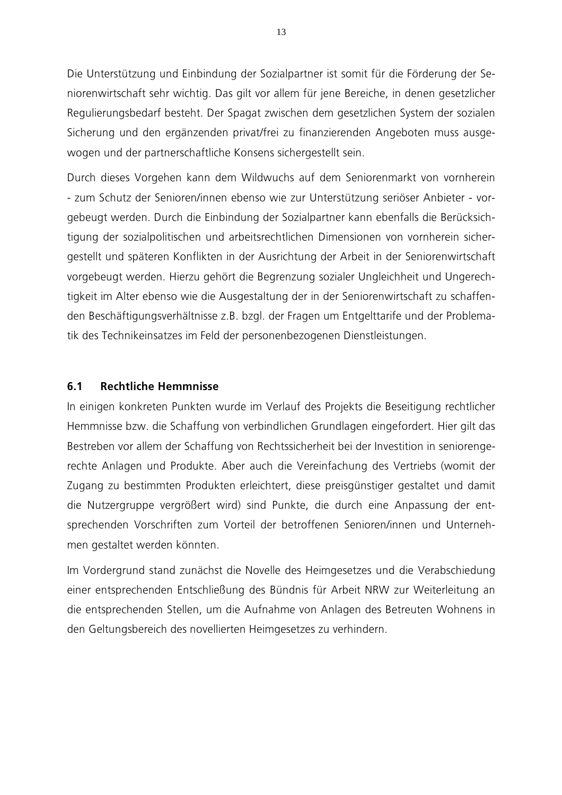Die Unterstützung und Einbindung der Sozialpartner ist somit für die Förderung der Seniorenwirtschaft sehr wichtig. Das gilt vor allem für jene Bereiche, in denen gesetzlicher Regulierungsbedarf besteht. Der Spagat zwischen dem gesetzlichen System der sozialen Sicherung und den ergänzenden privat/frei zu finanzierenden Angeboten muss ausgewogen und der partnerschaftliche Konsens sichergestellt sein.

Durch dieses Vorgehen kann dem Wildwuchs auf dem Seniorenmarkt von vornherein - zum Schutz der Senioren/innen ebenso wie zur Unterstützung seriöser Anbieter - vorgebeugt werden. Durch die Einbindung der Sozialpartner kann ebenfalls die Berücksichtigung der sozialpolitischen und arbeitsrechtlichen Dimensionen von vornherein sichergestellt und späteren Konflikten in der Ausrichtung der Arbeit in der Seniorenwirtschaft vorgebeugt werden. Hierzu gehört die Begrenzung sozialer Ungleichheit und Ungerechtigkeit im Alter ebenso wie die Ausgestaltung der in der Seniorenwirtschaft zu schaffenden Beschäftigungsverhältnisse z.B. bzgl. der Fragen um Entgelttarife und der Problematik des Technikeinsatzes im Feld der personenbezogenen Dienstleistungen.

#### $6.1$ **Rechtliche Hemmnisse**

In einigen konkreten Punkten wurde im Verlauf des Projekts die Beseitigung rechtlicher Hemmnisse bzw. die Schaffung von verbindlichen Grundlagen eingefordert. Hier gilt das Bestreben vor allem der Schaffung von Rechtssicherheit bei der Investition in seniorengerechte Anlagen und Produkte. Aber auch die Vereinfachung des Vertriebs (womit der Zugang zu bestimmten Produkten erleichtert, diese preisgünstiger gestaltet und damit die Nutzergruppe vergrößert wird) sind Punkte, die durch eine Anpassung der entsprechenden Vorschriften zum Vorteil der betroffenen Senioren/innen und Unternehmen gestaltet werden könnten.

Im Vordergrund stand zunächst die Novelle des Heimgesetzes und die Verabschiedung einer entsprechenden Entschließung des Bündnis für Arbeit NRW zur Weiterleitung an die entsprechenden Stellen, um die Aufnahme von Anlagen des Betreuten Wohnens in den Geltungsbereich des novellierten Heimgesetzes zu verhindern.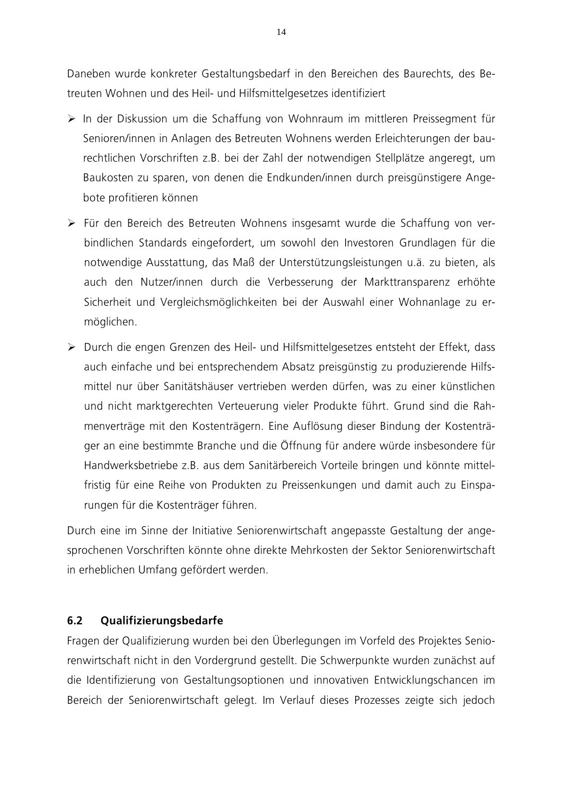Daneben wurde konkreter Gestaltungsbedarf in den Bereichen des Baurechts, des Betreuten Wohnen und des Heil- und Hilfsmittelgesetzes identifiziert

- > In der Diskussion um die Schaffung von Wohnraum im mittleren Preissegment für Senioren/innen in Anlagen des Betreuten Wohnens werden Erleichterungen der baurechtlichen Vorschriften z.B. bei der Zahl der notwendigen Stellplätze angeregt, um Baukosten zu sparen, von denen die Endkunden/innen durch preisgünstigere Angebote profitieren können
- > Für den Bereich des Betreuten Wohnens insgesamt wurde die Schaffung von verbindlichen Standards eingefordert, um sowohl den Investoren Grundlagen für die notwendige Ausstattung, das Maß der Unterstützungsleistungen u.ä. zu bieten, als auch den Nutzer/innen durch die Verbesserung der Markttransparenz erhöhte Sicherheit und Vergleichsmöglichkeiten bei der Auswahl einer Wohnanlage zu ermöglichen.
- > Durch die engen Grenzen des Heil- und Hilfsmittelgesetzes entsteht der Effekt, dass auch einfache und bei entsprechendem Absatz preisgünstig zu produzierende Hilfsmittel nur über Sanitätshäuser vertrieben werden dürfen, was zu einer künstlichen und nicht marktgerechten Verteuerung vieler Produkte führt. Grund sind die Rahmenverträge mit den Kostenträgern. Eine Auflösung dieser Bindung der Kostenträger an eine bestimmte Branche und die Öffnung für andere würde insbesondere für Handwerksbetriebe z.B. aus dem Sanitärbereich Vorteile bringen und könnte mittelfristig für eine Reihe von Produkten zu Preissenkungen und damit auch zu Einsparungen für die Kostenträger führen.

Durch eine im Sinne der Initiative Seniorenwirtschaft angepasste Gestaltung der angesprochenen Vorschriften könnte ohne direkte Mehrkosten der Sektor Seniorenwirtschaft in erheblichen Umfang gefördert werden.

#### $6.2$ Qualifizierungsbedarfe

Fragen der Qualifizierung wurden bei den Überlegungen im Vorfeld des Projektes Seniorenwirtschaft nicht in den Vordergrund gestellt. Die Schwerpunkte wurden zunächst auf die Identifizierung von Gestaltungsoptionen und innovativen Entwicklungschancen im Bereich der Seniorenwirtschaft gelegt. Im Verlauf dieses Prozesses zeigte sich jedoch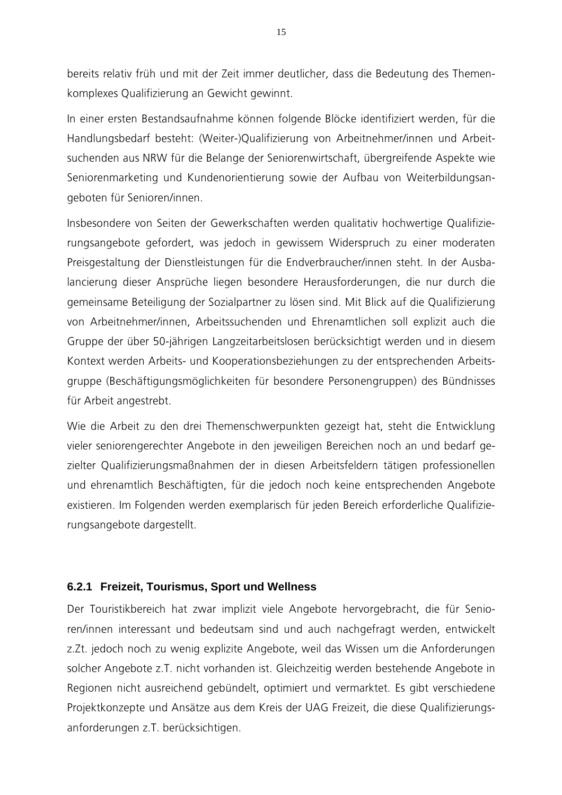bereits relativ früh und mit der Zeit immer deutlicher, dass die Bedeutung des Themenkomplexes Qualifizierung an Gewicht gewinnt.

In einer ersten Bestandsaufnahme können folgende Blöcke identifiziert werden, für die Handlungsbedarf besteht: (Weiter-)Qualifizierung von Arbeitnehmer/innen und Arbeitsuchenden aus NRW für die Belange der Seniorenwirtschaft, übergreifende Aspekte wie Seniorenmarketing und Kundenorientierung sowie der Aufbau von Weiterbildungsangeboten für Senioren/innen.

Insbesondere von Seiten der Gewerkschaften werden qualitativ hochwertige Qualifizierungsangebote gefordert, was jedoch in gewissem Widerspruch zu einer moderaten Preisgestaltung der Dienstleistungen für die Endverbraucher/innen steht. In der Ausbalancierung dieser Ansprüche liegen besondere Herausforderungen, die nur durch die gemeinsame Beteiligung der Sozialpartner zu lösen sind. Mit Blick auf die Qualifizierung von Arbeitnehmer/innen, Arbeitssuchenden und Ehrenamtlichen soll explizit auch die Gruppe der über 50-jährigen Langzeitarbeitslosen berücksichtigt werden und in diesem Kontext werden Arbeits- und Kooperationsbeziehungen zu der entsprechenden Arbeitsgruppe (Beschäftigungsmöglichkeiten für besondere Personengruppen) des Bündnisses für Arbeit angestrebt.

Wie die Arbeit zu den drei Themenschwerpunkten gezeigt hat, steht die Entwicklung vieler seniorengerechter Angebote in den jeweiligen Bereichen noch an und bedarf gezielter Qualifizierungsmaßnahmen der in diesen Arbeitsfeldern tätigen professionellen und ehrenamtlich Beschäftigten, für die jedoch noch keine entsprechenden Angebote existieren. Im Folgenden werden exemplarisch für jeden Bereich erforderliche Qualifizierungsangebote dargestellt.

### **6.2.1 Freizeit, Tourismus, Sport und Wellness**

Der Touristikbereich hat zwar implizit viele Angebote hervorgebracht, die für Senioren/innen interessant und bedeutsam sind und auch nachgefragt werden, entwickelt z.Zt. jedoch noch zu wenig explizite Angebote, weil das Wissen um die Anforderungen solcher Angebote z.T. nicht vorhanden ist. Gleichzeitig werden bestehende Angebote in Regionen nicht ausreichend gebündelt, optimiert und vermarktet. Es gibt verschiedene Projektkonzepte und Ansätze aus dem Kreis der UAG Freizeit, die diese Qualifizierungsanforderungen z.T. berücksichtigen.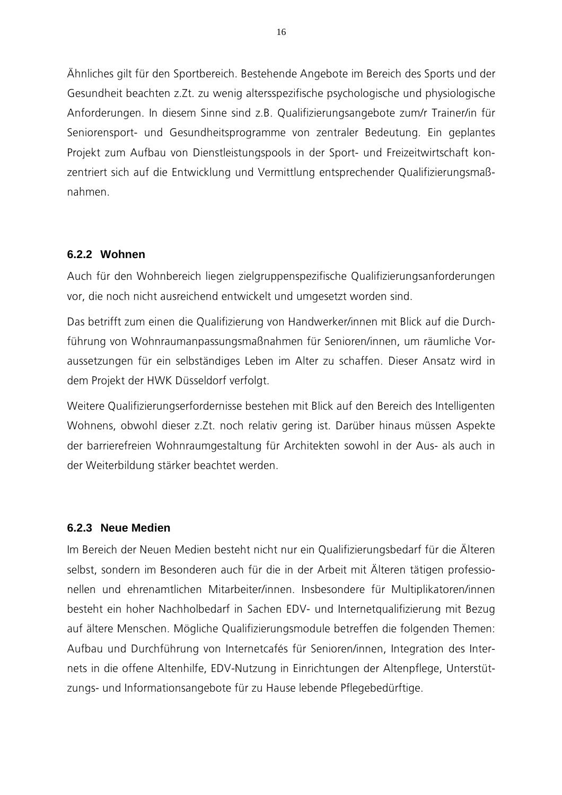Ahnliches gilt für den Sportbereich. Bestehende Angebote im Bereich des Sports und der Gesundheit beachten z.Zt. zu wenig altersspezifische psychologische und physiologische Anforderungen. In diesem Sinne sind z.B. Qualifizierungsangebote zum/r Trainer/in für Seniorensport- und Gesundheitsprogramme von zentraler Bedeutung. Ein geplantes Projekt zum Aufbau von Dienstleistungspools in der Sport- und Freizeitwirtschaft konzentriert sich auf die Entwicklung und Vermittlung entsprechender Qualifizierungsmaßnahmen.

### **6.2.2 Wohnen**

Auch für den Wohnbereich liegen zielgruppenspezifische Qualifizierungsanforderungen vor, die noch nicht ausreichend entwickelt und umgesetzt worden sind.

Das betrifft zum einen die Qualifizierung von Handwerker/innen mit Blick auf die Durchführung von Wohnraumanpassungsmaßnahmen für Senioren/innen, um räumliche Voraussetzungen für ein selbständiges Leben im Alter zu schaffen. Dieser Ansatz wird in dem Projekt der HWK Düsseldorf verfolgt.

Weitere Qualifizierungserfordernisse bestehen mit Blick auf den Bereich des Intelligenten Wohnens, obwohl dieser z.Zt. noch relativ gering ist. Darüber hinaus müssen Aspekte der barrierefreien Wohnraumgestaltung für Architekten sowohl in der Aus- als auch in der Weiterbildung stärker beachtet werden.

### **6.2.3 Neue Medien**

lm Bereich der Neuen Medien besteht nicht nur ein Qualifizierungsbedarf für die Alteren selbst, sondern im Besonderen auch für die in der Arbeit mit Alteren tätigen professionellen und ehrenamtlichen Mitarbeiter/innen. Insbesondere für Multiplikatoren/innen besteht ein hoher Nachholbedarf in Sachen EDV- und Internetqualifizierung mit Bezug auf ältere Menschen. Mögliche Qualifizierungsmodule betreffen die folgenden Themen: Aufbau und Durchführung von Internetcafés für Senioren/innen, Integration des Internets in die offene Altenhilfe, EDV-Nutzung in Einrichtungen der Altenpflege, Unterstützungs- und Informationsangebote für zu Hause lebende Pflegebedürftige.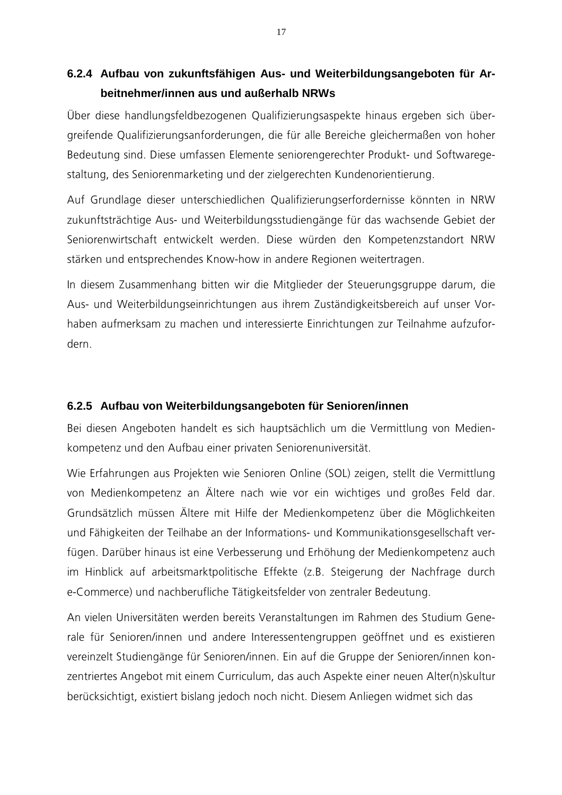## **6.2.4 Aufbau von zukunftsfähigen Aus- und Weiterbildungsangeboten für Arbeitnehmer/innen aus und außerhalb NRWs**

Uber diese handlungsfeldbezogenen Qualifizierungsaspekte hinaus ergeben sich übergreifende Qualifizierungsanforderungen, die für alle Bereiche gleichermaßen von hoher Bedeutung sind. Diese umfassen Elemente seniorengerechter Produkt- und Softwaregestaltung, des Seniorenmarketing und der zielgerechten Kundenorientierung.

Auf Grundlage dieser unterschiedlichen Qualifizierungserfordernisse könnten in NRW zukunftsträchtige Aus- und Weiterbildungsstudiengänge für das wachsende Gebiet der Seniorenwirtschaft entwickelt werden. Diese würden den Kompetenzstandort NRW stärken und entsprechendes Know-how in andere Regionen weitertragen.

In diesem Zusammenhang bitten wir die Mitglieder der Steuerungsgruppe darum, die Aus- und Weiterbildungseinrichtungen aus ihrem Zuständigkeitsbereich auf unser Vorhaben aufmerksam zu machen und interessierte Einrichtungen zur Teilnahme aufzufordern.

### **6.2.5 Aufbau von Weiterbildungsangeboten für Senioren/innen**

Bei diesen Angeboten handelt es sich hauptsächlich um die Vermittlung von Medienkompetenz und den Aufbau einer privaten Seniorenuniversität.

Wie Erfahrungen aus Projekten wie Senioren Online (SOL) zeigen, stellt die Vermittlung von Medienkompetenz an Altere nach wie vor ein wichtiges und großes Feld dar. Grundsätzlich müssen Altere mit Hilfe der Medienkompetenz über die Möglichkeiten und Fähigkeiten der Teilhabe an der Informations- und Kommunikationsgesellschaft verfügen. Darüber hinaus ist eine Verbesserung und Erhöhung der Medienkompetenz auch im Hinblick auf arbeitsmarktpolitische Effekte (z.B. Steigerung der Nachfrage durch e-Commerce) und nachberufliche Tätigkeitsfelder von zentraler Bedeutung.

An vielen Universitäten werden bereits Veranstaltungen im Rahmen des Studium Generale für Senioren/innen und andere Interessentengruppen geöffnet und es existieren vereinzelt Studiengänge für Senioren/innen. Ein auf die Gruppe der Senioren/innen konzentriertes Angebot mit einem Curriculum, das auch Aspekte einer neuen Alter(n)skultur berücksichtigt, existiert bislang jedoch noch nicht. Diesem Anliegen widmet sich das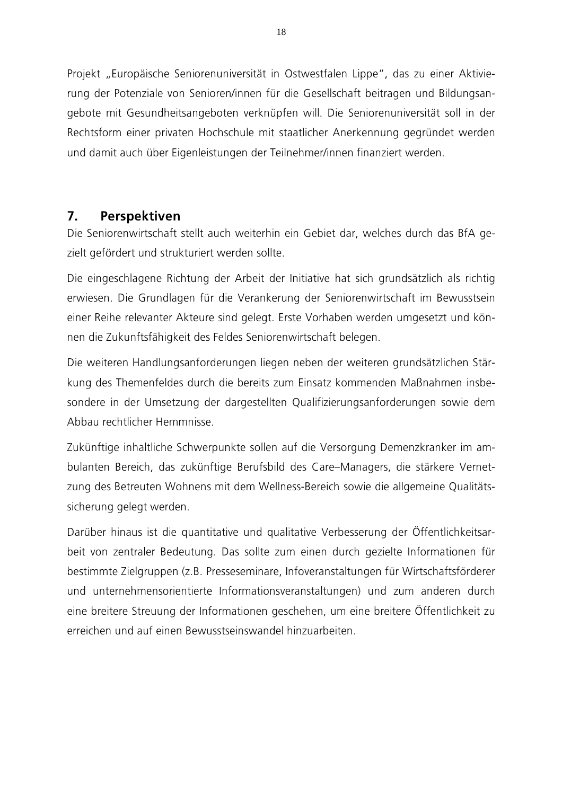Projekt "Europäische Seniorenuniversität in Ostwestfalen Lippe", das zu einer Aktivierung der Potenziale von Senioren/innen für die Gesellschaft beitragen und Bildungsangebote mit Gesundheitsangeboten verknüpfen will. Die Seniorenuniversität soll in der Rechtsform einer privaten Hochschule mit staatlicher Anerkennung gegründet werden und damit auch über Eigenleistungen der Teilnehmer/innen finanziert werden.

### $7<sub>1</sub>$ Perspektiven

Die Seniorenwirtschaft stellt auch weiterhin ein Gebiet dar, welches durch das BfA gezielt gefördert und strukturiert werden sollte.

Die eingeschlagene Richtung der Arbeit der Initiative hat sich grundsätzlich als richtig erwiesen. Die Grundlagen für die Verankerung der Seniorenwirtschaft im Bewusstsein einer Reihe relevanter Akteure sind gelegt. Erste Vorhaben werden umgesetzt und können die Zukunftsfähigkeit des Feldes Seniorenwirtschaft belegen.

Die weiteren Handlungsanforderungen liegen neben der weiteren grundsätzlichen Stärkung des Themenfeldes durch die bereits zum Einsatz kommenden Maßnahmen insbesondere in der Umsetzung der dargestellten Qualifizierungsanforderungen sowie dem Abbau rechtlicher Hemmnisse

Zukünftige inhaltliche Schwerpunkte sollen auf die Versorgung Demenzkranker im ambulanten Bereich, das zukünftige Berufsbild des Care-Managers, die stärkere Vernetzung des Betreuten Wohnens mit dem Wellness-Bereich sowie die allgemeine Qualitätssicherung gelegt werden.

Darüber hinaus ist die quantitative und qualitative Verbesserung der Öffentlichkeitsarbeit von zentraler Bedeutung. Das sollte zum einen durch gezielte Informationen für bestimmte Zielgruppen (z.B. Presseseminare, Infoveranstaltungen für Wirtschaftsförderer und unternehmensorientierte Informationsveranstaltungen) und zum anderen durch eine breitere Streuung der Informationen geschehen, um eine breitere Öffentlichkeit zu erreichen und auf einen Bewusstseinswandel hinzuarbeiten.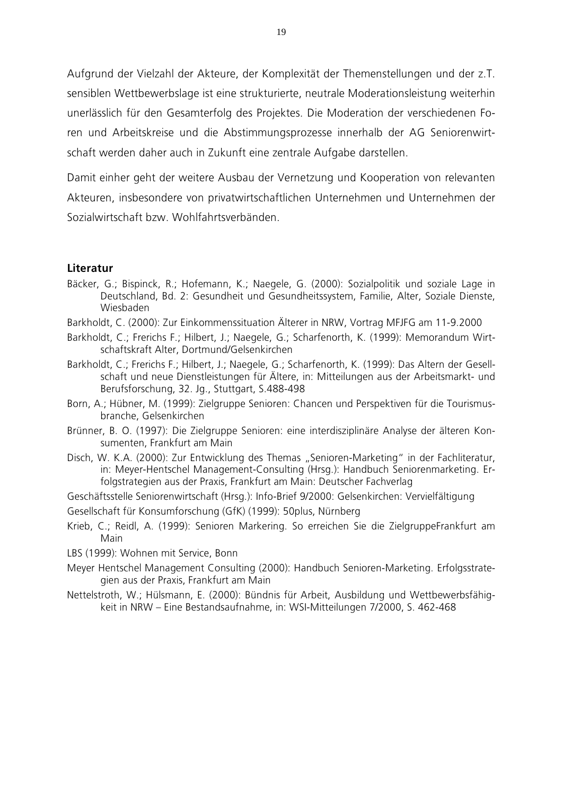Aufgrund der Vielzahl der Akteure, der Komplexität der Themenstellungen und der z.T. sensiblen Wettbewerbslage ist eine strukturierte, neutrale Moderationsleistung weiterhin unerlässlich für den Gesamterfolg des Projektes. Die Moderation der verschiedenen Foren und Arbeitskreise und die Abstimmungsprozesse innerhalb der AG Seniorenwirtschaft werden daher auch in Zukunft eine zentrale Aufgabe darstellen.

Damit einher geht der weitere Ausbau der Vernetzung und Kooperation von relevanten Akteuren, insbesondere von privatwirtschaftlichen Unternehmen und Unternehmen der Sozialwirtschaft bzw. Wohlfahrtsverbänden

### Literatur

- Bäcker, G.; Bispinck, R.; Hofemann, K.; Naegele, G. (2000): Sozialpolitik und soziale Lage in Deutschland, Bd. 2: Gesundheit und Gesundheitssystem, Familie, Alter, Soziale Dienste, Wiesbaden
- Barkholdt, C. (2000): Zur Einkommenssituation Älterer in NRW, Vortrag MFJFG am 11-9.2000
- Barkholdt, C.; Frerichs F.; Hilbert, J.; Naegele, G.; Scharfenorth, K. (1999): Memorandum Wirtschaftskraft Alter, Dortmund/Gelsenkirchen
- Barkholdt, C.; Frerichs F.; Hilbert, J.; Naegele, G.; Scharfenorth, K. (1999): Das Altern der Gesellschaft und neue Dienstleistungen für Ältere, in: Mitteilungen aus der Arbeitsmarkt- und Berufsforschung, 32. Jg., Stuttgart, S.488-498
- Born, A.; Hübner, M. (1999): Zielgruppe Senioren: Chancen und Perspektiven für die Tourismusbranche, Gelsenkirchen
- Brünner, B. O. (1997): Die Zielgruppe Senioren: eine interdisziplinäre Analyse der älteren Konsumenten, Frankfurt am Main
- Disch, W. K.A. (2000): Zur Entwicklung des Themas "Senioren-Marketing" in der Fachliteratur, in: Meyer-Hentschel Management-Consulting (Hrsg.): Handbuch Seniorenmarketing. Erfolgstrategien aus der Praxis, Frankfurt am Main: Deutscher Fachverlag
- Geschäftsstelle Seniorenwirtschaft (Hrsg.): Info-Brief 9/2000: Gelsenkirchen: Vervielfältigung
- Gesellschaft für Konsumforschung (GfK) (1999): 50plus, Nürnberg
- Krieb, C.; Reidl, A. (1999): Senioren Markering. So erreichen Sie die ZielgruppeFrankfurt am Main
- LBS (1999): Wohnen mit Service, Bonn
- Meyer Hentschel Management Consulting (2000): Handbuch Senioren-Marketing. Erfolgsstrategien aus der Praxis, Frankfurt am Main
- Nettelstroth, W.; Hülsmann, E. (2000): Bündnis für Arbeit, Ausbildung und Wettbewerbsfähigkeit in NRW - Eine Bestandsaufnahme, in: WSI-Mitteilungen 7/2000, S. 462-468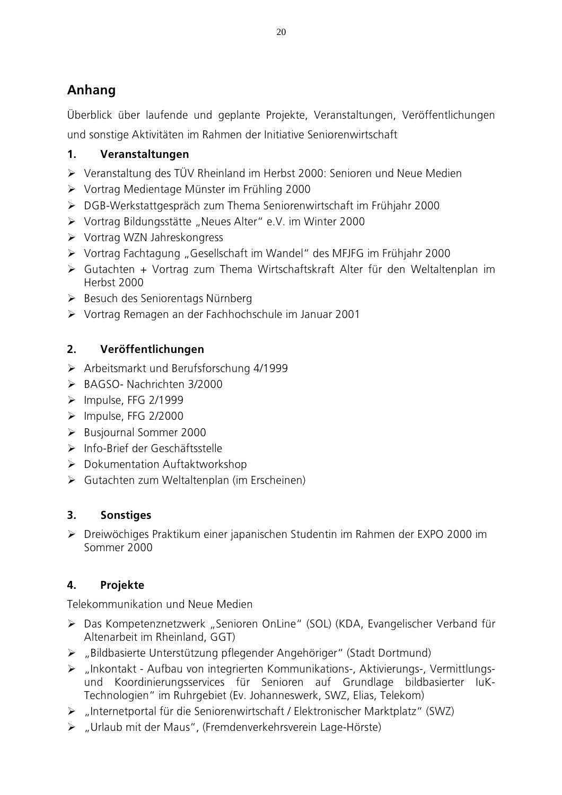# Anhang

Überblick über laufende und geplante Projekte, Veranstaltungen, Veröffentlichungen und sonstige Aktivitäten im Rahmen der Initiative Seniorenwirtschaft

### $1<sub>1</sub>$ Veranstaltungen

- > Veranstaltung des TÜV Rheinland im Herbst 2000: Senioren und Neue Medien
- ▶ Vortrag Medientage Münster im Frühling 2000
- > DGB-Werkstattgespräch zum Thema Seniorenwirtschaft im Frühjahr 2000
- > Vortrag Bildungsstätte "Neues Alter" e.V. im Winter 2000
- $\triangleright$  Vortrag WZN Jahreskongress
- > Vortrag Fachtagung "Gesellschaft im Wandel" des MFJFG im Frühjahr 2000
- > Gutachten + Vortrag zum Thema Wirtschaftskraft Alter für den Weltaltenplan im Herbst 2000
- > Besuch des Seniorentags Nürnberg
- > Vortrag Remagen an der Fachhochschule im Januar 2001

### $2.$ Veröffentlichungen

- > Arbeitsmarkt und Berufsforschung 4/1999
- $\triangleright$  BAGSO- Nachrichten 3/2000
- $\triangleright$  Impulse, FFG 2/1999
- $\triangleright$  Impulse, FFG 2/2000
- > Busiournal Sommer 2000
- $\triangleright$  Info-Brief der Geschäftsstelle
- > Dokumentation Auftaktworkshop
- > Gutachten zum Weltaltenplan (im Erscheinen)

### $\overline{3}$ **Sonstiges**

> Dreiwöchiges Praktikum einer japanischen Studentin im Rahmen der EXPO 2000 im Sommer 2000

### $\mathbf{4}$ Projekte

Telekommunikation und Neue Medien

- > Das Kompetenznetzwerk "Senioren OnLine" (SOL) (KDA, Evangelischer Verband für Altenarbeit im Rheinland, GGT)
- > "Bildbasierte Unterstützung pflegender Angehöriger" (Stadt Dortmund)
- > "Inkontakt Aufbau von integrierten Kommunikations-, Aktivierungs-, Vermittlungsund Koordinierungsservices für Senioren auf Grundlage bildbasierter luK-Technologien" im Ruhrgebiet (Ev. Johanneswerk, SWZ, Elias, Telekom)
- > "Internetportal für die Seniorenwirtschaft / Elektronischer Marktplatz" (SWZ)
- > "Urlaub mit der Maus", (Fremdenverkehrsverein Lage-Hörste)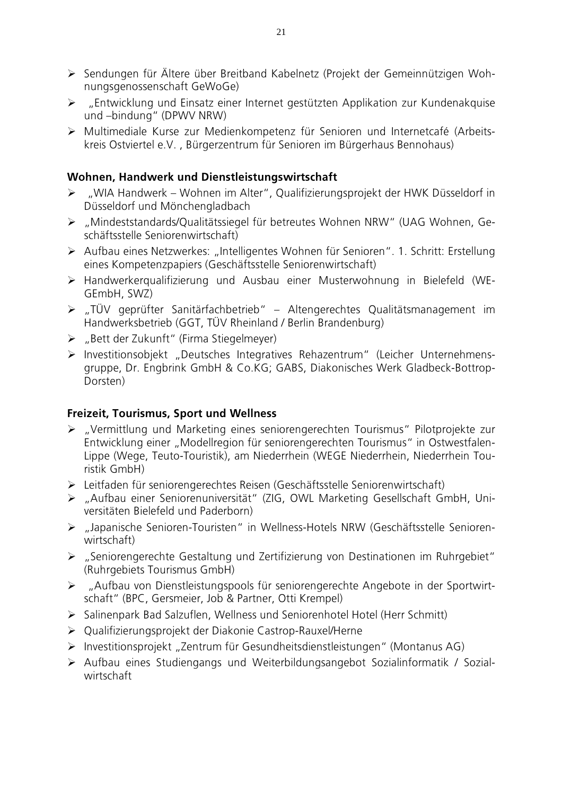- > Sendungen für Ältere über Breitband Kabelnetz (Projekt der Gemeinnützigen Wohnungsgenossenschaft GeWoGe)
- ▶ "Entwicklung und Einsatz einer Internet gestützten Applikation zur Kundenakguise und -bindung" (DPWV NRW)
- > Multimediale Kurse zur Medienkompetenz für Senioren und Internetcafé (Arbeitskreis Ostviertel e.V., Bürgerzentrum für Senioren im Bürgerhaus Bennohaus)

### Wohnen, Handwerk und Dienstleistungswirtschaft

- > "WIA Handwerk Wohnen im Alter". Oualifizierungsprojekt der HWK Düsseldorf in Düsseldorf und Mönchengladbach
- > "Mindeststandards/Qualitätssiegel für betreutes Wohnen NRW" (UAG Wohnen, Geschäftsstelle Seniorenwirtschaft)
- > Aufbau eines Netzwerkes: "Intelligentes Wohnen für Senioren". 1. Schritt: Erstellung eines Kompetenzpapiers (Geschäftsstelle Seniorenwirtschaft)
- > Handwerkergualifizierung und Ausbau einer Musterwohnung in Bielefeld (WE-GEmbH, SWZ)
- > "TÜV geprüfter Sanitärfachbetrieb" Altengerechtes Qualitätsmanagement im Handwerksbetrieb (GGT, TÜV Rheinland / Berlin Brandenburg)
- $\triangleright$  "Bett der Zukunft" (Firma Stiegelmeyer)
- > Investitionsobjekt "Deutsches Integratives Rehazentrum" (Leicher Unternehmensgruppe, Dr. Engbrink GmbH & Co.KG; GABS, Diakonisches Werk Gladbeck-Bottrop-Dorsten)

### Freizeit, Tourismus, Sport und Wellness

- > "Vermittlung und Marketing eines seniorengerechten Tourismus" Pilotprojekte zur Entwicklung einer "Modellregion für seniorengerechten Tourismus" in Ostwestfalen-Lippe (Wege, Teuto-Touristik), am Niederrhein (WEGE Niederrhein, Niederrhein Touristik GmbH)
- > Leitfaden für seniorengerechtes Reisen (Geschäftsstelle Seniorenwirtschaft)
- > "Aufbau einer Seniorenuniversität" (ZIG, OWL Marketing Gesellschaft GmbH, Universitäten Bielefeld und Paderborn)
- > "Japanische Senioren-Touristen" in Wellness-Hotels NRW (Geschäftsstelle Seniorenwirtschaft)
- ▶ "Seniorengerechte Gestaltung und Zertifizierung von Destinationen im Ruhrgebiet" (Ruhrgebiets Tourismus GmbH)
- > "Aufbau von Dienstleistungspools für seniorengerechte Angebote in der Sportwirtschaft" (BPC, Gersmeier, Job & Partner, Otti Krempel)
- > Salinenpark Bad Salzuflen, Wellness und Seniorenhotel Hotel (Herr Schmitt)
- > Qualifizierungsprojekt der Diakonie Castrop-Rauxel/Herne
- > Investitionsprojekt "Zentrum für Gesundheitsdienstleistungen" (Montanus AG)
- > Aufbau eines Studiengangs und Weiterbildungsangebot Sozialinformatik / Sozialwirtschaft